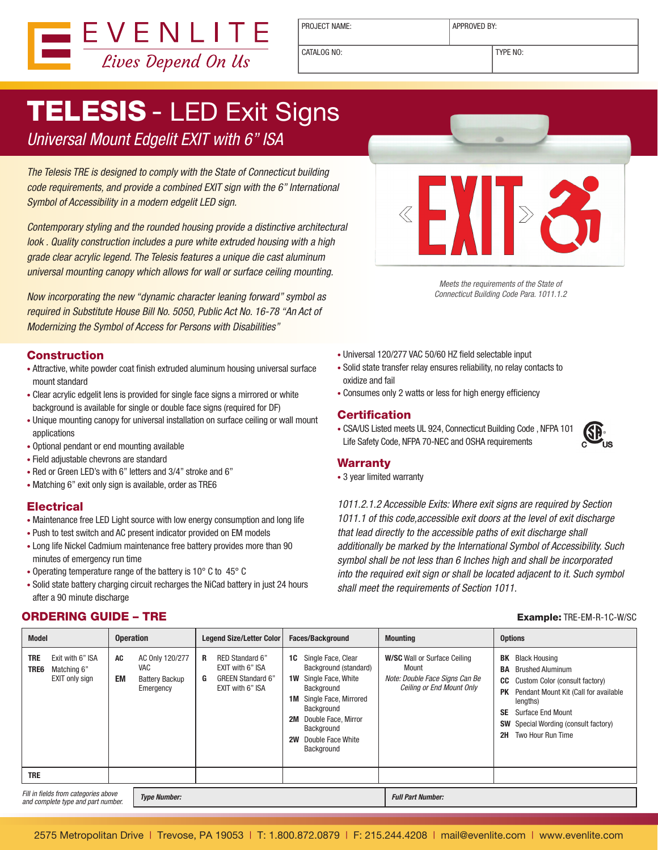

PROJECT NAME:  $\vert$  APPROVED BY:

CATALOG NO: TYPE NO:

# **TELESIS - LED Exit Signs**

### Universal Mount Edgelit EXIT with 6" ISA

The Telesis TRE is designed to comply with the State of Connecticut building code requirements, and provide a combined EXIT sign with the 6" International Symbol of Accessibility in a modern edgelit LED sign.

Contemporary styling and the rounded housing provide a distinctive architectural look . Quality construction includes a pure white extruded housing with a high grade clear acrylic legend. The Telesis features a unique die cast aluminum universal mounting canopy which allows for wall or surface ceiling mounting.

Now incorporating the new "dynamic character leaning forward" symbol as required in Substitute House Bill No. 5050, Public Act No. 16-78 "An Act of Modernizing the Symbol of Access for Persons with Disabilities"

#### Construction

- Attractive, white powder coat finish extruded aluminum housing universal surface mount standard
- Clear acrylic edgelit lens is provided for single face signs a mirrored or white background is available for single or double face signs (required for DF)
- Unique mounting canopy for universal installation on surface ceiling or wall mount applications
- Optional pendant or end mounting available
- • Field adjustable chevrons are standard
- Red or Green LED's with 6" letters and 3/4" stroke and 6"
- Matching 6" exit only sign is available, order as TRE6

#### **Electrical**

- Maintenance free LED Light source with low energy consumption and long life
- Push to test switch and AC present indicator provided on EM models
- Long life Nickel Cadmium maintenance free battery provides more than 90 minutes of emergency run time
- Operating temperature range of the battery is 10° C to 45° C
- Solid state battery charging circuit recharges the NiCad battery in just 24 hours after a 90 minute discharge

### **ORDERING GUIDE – TRE Example: TRE-EM-R-1C-W/SC**



Meets the requirements of the State of Connecticut Building Code Para. 1011.1.2

- • Universal 120/277 VAC 50/60 HZ field selectable input
- • Solid state transfer relay ensures reliability, no relay contacts to oxidize and fail
- Consumes only 2 watts or less for high energy efficiency

#### **Certification**

• CSA/US Listed meets UL 924, Connecticut Building Code , NFPA 101 Life Safety Code, NFPA 70-NEC and OSHA requirements



#### Warranty

• 3 year limited warranty

1011.2.1.2 Accessible Exits: Where exit signs are required by Section 1011.1 of this code,accessible exit doors at the level of exit discharge that lead directly to the accessible paths of exit discharge shall additionally be marked by the International Symbol of Accessibility. Such symbol shall be not less than 6 Inches high and shall be incorporated into the required exit sign or shall be located adjacent to it. Such symbol shall meet the requirements of Section 1011.

| <b>Model</b>                                                                          | <b>Operation</b> |                                                                     | Legend Size/Letter Color |                                                                                     | <b>Faces/Background</b> |                                                                                                                                                                                                                    |  | <b>Mounting</b>                                                                                             |                                          | <b>Options</b>                                                                                                                                                                                                                            |  |
|---------------------------------------------------------------------------------------|------------------|---------------------------------------------------------------------|--------------------------|-------------------------------------------------------------------------------------|-------------------------|--------------------------------------------------------------------------------------------------------------------------------------------------------------------------------------------------------------------|--|-------------------------------------------------------------------------------------------------------------|------------------------------------------|-------------------------------------------------------------------------------------------------------------------------------------------------------------------------------------------------------------------------------------------|--|
| <b>TRE</b><br>Exit with 6" ISA<br>TRE6<br>Matching 6"<br>EXIT only sign<br><b>TRE</b> | AC<br><b>EM</b>  | AC Only 120/277<br><b>VAC</b><br><b>Battery Backup</b><br>Emergency | R<br>G                   | RED Standard 6"<br>EXIT with 6" ISA<br><b>GREEN Standard 6"</b><br>EXIT with 6" ISA | 1W<br>2M<br><b>2W</b>   | <b>1C</b> Single Face, Clear<br>Background (standard)<br>Single Face, White<br>Background<br><b>1M</b> Single Face, Mirrored<br>Background<br>Double Face, Mirror<br>Background<br>Double Face White<br>Background |  | <b>W/SC</b> Wall or Surface Ceiling<br>Mount<br>Note: Double Face Signs Can Be<br>Ceiling or End Mount Only | BA<br>CC<br><b>PK</b><br><b>SE</b><br>2H | <b>BK</b> Black Housing<br><b>Brushed Aluminum</b><br>Custom Color (consult factory)<br>Pendant Mount Kit (Call for available<br>lengths)<br><b>Surface End Mount</b><br><b>SW</b> Special Wording (consult factory)<br>Two Hour Run Time |  |
|                                                                                       |                  |                                                                     |                          |                                                                                     |                         |                                                                                                                                                                                                                    |  |                                                                                                             |                                          |                                                                                                                                                                                                                                           |  |
| Fill in fields from categories above<br>and complete type and part number.            |                  | <b>Type Number:</b>                                                 |                          |                                                                                     |                         |                                                                                                                                                                                                                    |  | <b>Full Part Number:</b>                                                                                    |                                          |                                                                                                                                                                                                                                           |  |